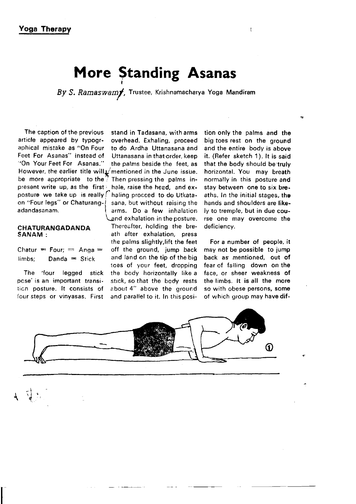# More Standing Asanas

By S. Ramaswamy, Trustee, Krishnamacharya Yoga Mandiram

The caption of the previous stand in Tadasana, with arms article appeared by typogr- overhead. Exhaling, proceed article appeared by typogr- overhead. Exhaling, proceed<br>aphical mistake as "On Four to do Ardha Uttanasana and aphical mistake as "On Four to do Ardha Uttanasana and Feet For Asanas" instead of Uttanasana in that order, keep<br>"On Your Feet For Asanas" the palms beside the feet as However, the earlier title will  $\sqrt{\frac{1}{1}}$  mentioned in the June issue.<br>be more appropriate to the  $\frac{1}{1}$  Then pressing the palms inpresent write up, as the first \ hale, raise the head, and exposture we take up is really  $\int$  haling procced to do Utkataon "Four legs" or Chaturang-<br>adaptasanam.<br>f arms. Do a few inhalation

# CHATURANGADANDA<br>SANAM :

 $\text{Chatur} = \text{Four}; = \text{Anga} =$ 

pcse' is an important transi- stick, so that the body rests<br>tion posture. It consists of about 4" above the ground

". I  $\Gamma$   $\rightarrow$   $\Gamma$ ٦,

 $\overline{1}$ 

the palms beside the feet, as Then pressing the palms inarms. Do a few inhalation and exhalation in the posture.<br>Thereafter, holding the breath after exhalation, press the palms slightly, lift the feet off the ground, jump back limbs: Danda  $=$  Stick and land on the tip of the big toes of your feet, dropping The 'four legged stick the body horizontally like a about 4" above the ground four steps or vinyasas. First and parallel to it. ln this posi-

tion only the palms and the big toes rest on the ground and the entire bodv is above it. (Refer sketch 1). lt is said that the body should be truly horizontal. You may breath normally in this posture and stay between one to six breaths. In the initial stages, the hands and shoulders are likeiy to tremple, but in due course one may overcome the deficiency.

For a number of people, it may not be possible to jump back as mentioned, out of fear of falling down on the face, or sheer weakness of the limbs. It is all the more so with obese persons, some of which group may have dif-

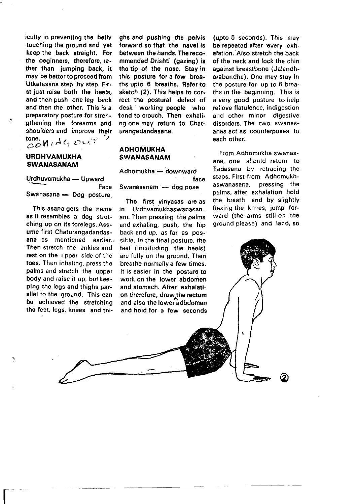iculty in preventing tho belly touching the ground and yet keep the back straight. For the beginners, theretore, rather than iumping back, it may be better to proceed from Utkatasana step by step. First just raise both the heels. and then push one leg back and then the other. This is a preparatory posture for strengthening the forearms and shoulders and improve their  $\mathcal{L}$  one.  $\mathcal{H}$ ,  $A \in \mathcal{O}$  with ')

#### URDHVAMUKHA SWANASANAM

Urdhuvamukha - Upward Face Swanasana — Dog posture,

This asana gets the name as it resembles a dog stretching up on its forelegs. Assume first Chaturangadandasana as mentioned earlier. Then stretch the ankles and rest on the upper side of the toes. Then inhaling, press the palms and stretch the upper body and raise it up, butkeeping the legs and thighs parallel to the ground. This can be achieved the stretching the feet, legs, knees and thi-

I

ahs and pushing the pelvis forward so that the navel is between the hands. The recommended Drishti (gazing) is the tip of the nose. Stay in this posture for a few breaths upto 6 breaths. Refer to sketch (2). This helps to correct the postural defect of desk working people who tend to crouch. Then exhaling one may return to Chaturangadandasana.

### **ADHOMUKHA** SWANASANAM

Adhomukha - downward face Swanasanam - dog pose

The, first vinyasas are as in Urdhvamukhaswanasanam. Then pressing the palms and exhaling, push, the hip back and up, as far as possible. In the final posture, the feet (inculuding the heels) are fully on the ground. Then breathe normally a few times. It is easier in the posture to work on the lower abdomen and stomach. After exhalation therefore, draw the rectum and also the lower adbdomen and hold tor a few seconds

(upto 5 seconds). This may be repeated after 'every exhalation. Also stretch the back of the neck and lock the chin against breastbone (Jalandharabandha). Ono may stay in the posture for up to 6 breaths in the beginning. This is a very good posture to help relieve flatulence, indigestion and other minor digestive disorders. The two swanasanas act as counterposes to each other.

From Adhomukha swanasana, one shculd return to Tadasana by retracing the steps. First from Adhomukhaswanasana, pressing the palms, after exhalation hold the breath and by slightly flexing the knees, jump forward (the arms still on the gr'ound please) and land, so

@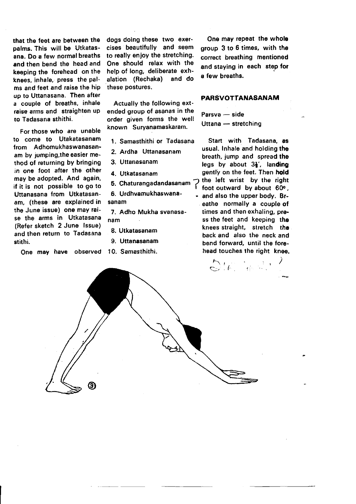that tho feet are between the palms. This will be Utkatasana. Do a few normal breaths and then bend the head and keeping the forehead on the knees, inhale, press the palms and teet and raise the hip up to Uttanasana. Then aftet a couple of breaths, inhale raise arms and straighten up to Tadasana sthithi.

For those who are unable to come to Utakatasanam from Adhomukhaswanasanam by jumping, the easier merhod of returning bY bringing in one foot after the other may be adopted. And again, if it is not possible to go to Uttanasana from Utkatasanam, (these are explained in the June issue) one may raise the arms in Utkatasana (Refer sketch 2 June lssue) and then return to Tadasana stithi.

One may have observed 10. Samasthithi.

dogs doing these two exercises beautifully and seem to reatly enjoy the stretching. One should relax with the help of long, deliberate exhalation (Rechaka) and do these postures,

Actually the following extended group of asanas in the order given forms the well known Suryanamaskaram.

- 1. Samasthithi or Tadasana
- 2. Ardha Uttanasanam
- 3. Uttanasanam
- 4. Utkatasanam
- 5. Chaturangadandasanam ?
- sanam 6. Urdhvamukhaswana-

7. Adho Mukha svanasanam

- 8. Utkatasanam
- 9. Uttanasanam

One may repoat the whols group 3 to 6 times, with the correct breathing mentioned and staying in each step for a few breaths.

#### PARSVOTTANASANAM

Parsva - side Uttana - stretching

Start with Tadasana, as usual. Inhale and holding the breath, jump and spread the legs by about  $3\frac{1}{2}$ , landing gently on the feet. Then hold<br>the left wrist by the right  $\overline{1}$  foot outward by about 60 $^{\circ}$ ,

eathe normally a couple of times and then exhaling, press the feet and keeping the knees straight, stretch the back and also the neck and bend forward, until the forehead touches the right knee. . and also the upper body. Br.

F. e.